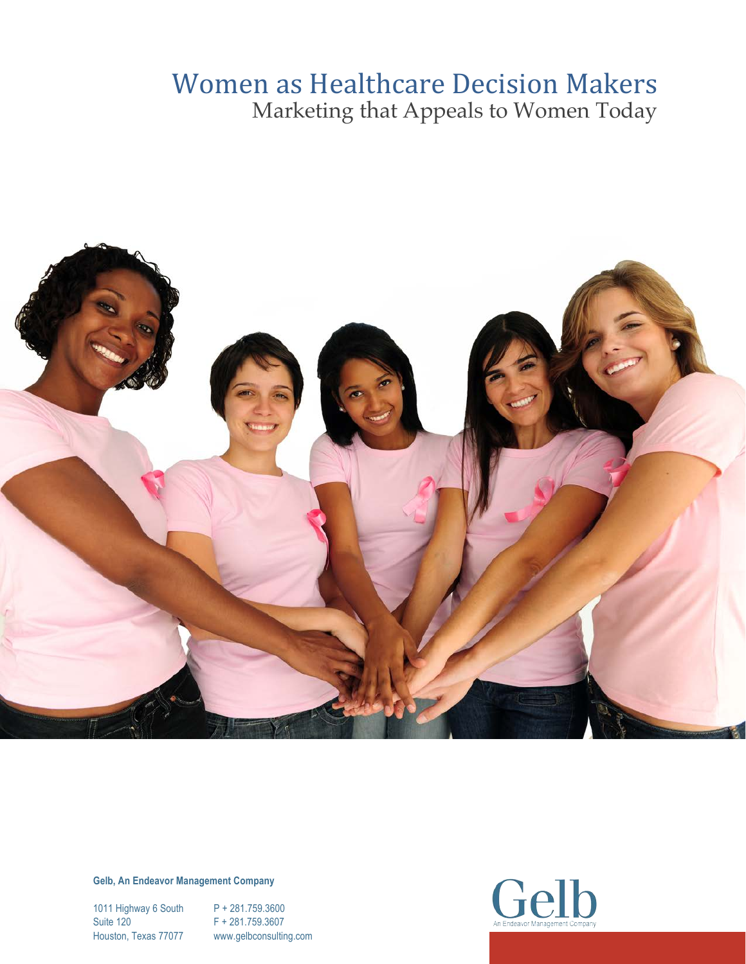## Women as Healthcare Decision Makers Marketing that Appeals to Women Today



**Gelb, An Endeavor Management Company**

1011 Highway 6 South P + 281.759.3600 Suite 120 F + 281.759.3607

Houston, Texas 77077 www.gelbconsulting.com

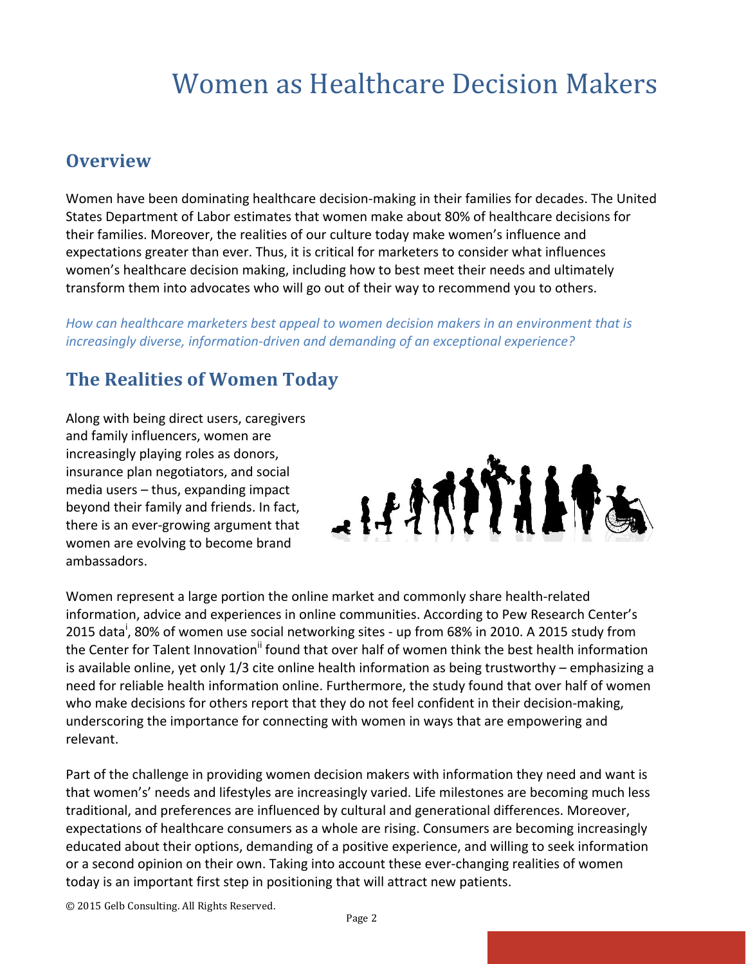### **Overview**

Women have been dominating healthcare decision-making in their families for decades. The United States Department of Labor estimates that women make about 80% of healthcare decisions for their families. Moreover, the realities of our culture today make women's influence and expectations greater than ever. Thus, it is critical for marketers to consider what influences women's healthcare decision making, including how to best meet their needs and ultimately transform them into advocates who will go out of their way to recommend you to others.

How can healthcare marketers best appeal to women decision makers in an environment that is *increasingly diverse, information-driven and demanding of an exceptional experience?* 

## **The Realities of Women Today**

Along with being direct users, caregivers and family influencers, women are increasingly playing roles as donors, insurance plan negotiators, and social media users  $-$  thus, expanding impact beyond their family and friends. In fact, there is an ever-growing argument that women are evolving to become brand ambassadors. 



Women represent a large portion the online market and commonly share health-related information, advice and experiences in online communities. According to Pew Research Center's 2015 data<sup>i</sup>, 80% of women use social networking sites - up from 68% in 2010. A 2015 study from the Center for Talent Innovation<sup>ii</sup> found that over half of women think the best health information is available online, yet only 1/3 cite online health information as being trustworthy - emphasizing a need for reliable health information online. Furthermore, the study found that over half of women who make decisions for others report that they do not feel confident in their decision-making, underscoring the importance for connecting with women in ways that are empowering and relevant. 

Part of the challenge in providing women decision makers with information they need and want is that women's' needs and lifestyles are increasingly varied. Life milestones are becoming much less traditional, and preferences are influenced by cultural and generational differences. Moreover, expectations of healthcare consumers as a whole are rising. Consumers are becoming increasingly educated about their options, demanding of a positive experience, and willing to seek information or a second opinion on their own. Taking into account these ever-changing realities of women today is an important first step in positioning that will attract new patients.

© 2015 Gelb Consulting. All Rights Reserved.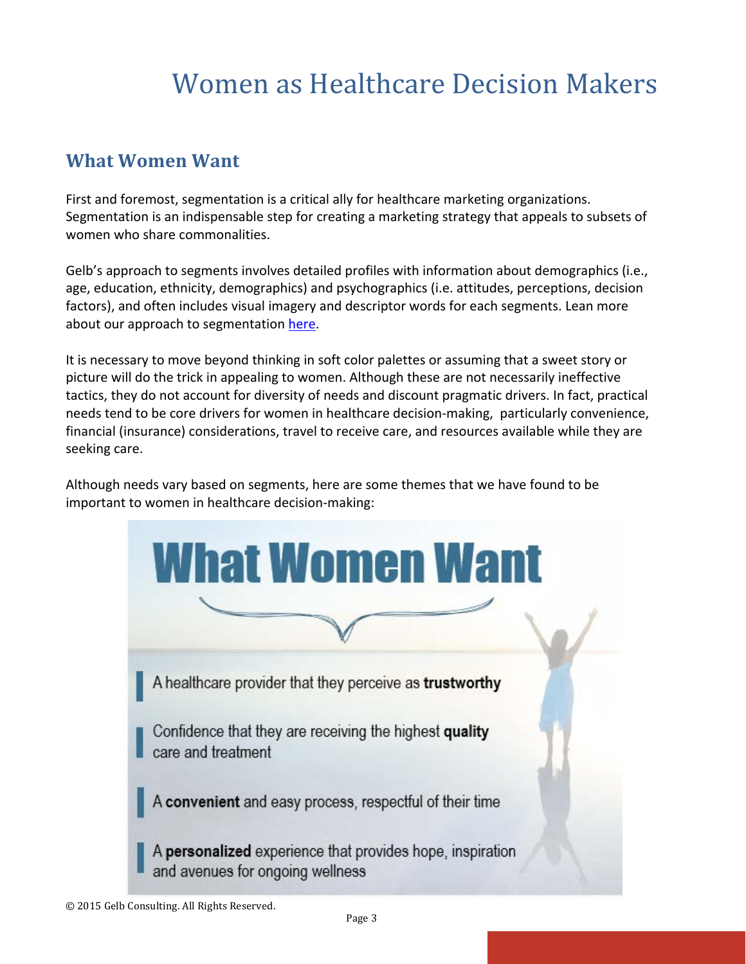## **What Women Want**

First and foremost, segmentation is a critical ally for healthcare marketing organizations. Segmentation is an indispensable step for creating a marketing strategy that appeals to subsets of women who share commonalities.

Gelb's approach to segments involves detailed profiles with information about demographics (i.e., age, education, ethnicity, demographics) and psychographics (i.e. attitudes, perceptions, decision factors), and often includes visual imagery and descriptor words for each segments. Lean more about our approach to segmentation here.

It is necessary to move beyond thinking in soft color palettes or assuming that a sweet story or picture will do the trick in appealing to women. Although these are not necessarily ineffective tactics, they do not account for diversity of needs and discount pragmatic drivers. In fact, practical needs tend to be core drivers for women in healthcare decision-making, particularly convenience, financial (insurance) considerations, travel to receive care, and resources available while they are seeking care.

Although needs vary based on segments, here are some themes that we have found to be important to women in healthcare decision-making:

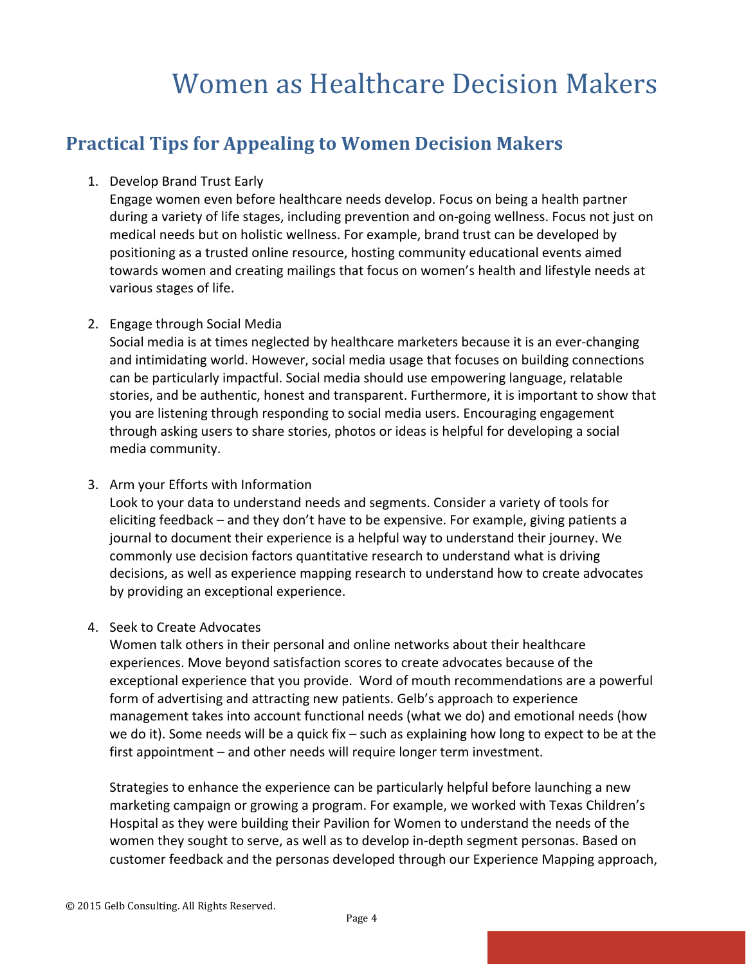## **Practical Tips for Appealing to Women Decision Makers**

#### 1. Develop Brand Trust Early

Engage women even before healthcare needs develop. Focus on being a health partner during a variety of life stages, including prevention and on-going wellness. Focus not just on medical needs but on holistic wellness. For example, brand trust can be developed by positioning as a trusted online resource, hosting community educational events aimed towards women and creating mailings that focus on women's health and lifestyle needs at various stages of life.

#### 2. Engage through Social Media

Social media is at times neglected by healthcare marketers because it is an ever-changing and intimidating world. However, social media usage that focuses on building connections can be particularly impactful. Social media should use empowering language, relatable stories, and be authentic, honest and transparent. Furthermore, it is important to show that you are listening through responding to social media users. Encouraging engagement through asking users to share stories, photos or ideas is helpful for developing a social media community.

#### 3. Arm your Efforts with Information

Look to your data to understand needs and segments. Consider a variety of tools for eliciting feedback – and they don't have to be expensive. For example, giving patients a journal to document their experience is a helpful way to understand their journey. We commonly use decision factors quantitative research to understand what is driving decisions, as well as experience mapping research to understand how to create advocates by providing an exceptional experience.

#### 4. Seek to Create Advocates

Women talk others in their personal and online networks about their healthcare experiences. Move beyond satisfaction scores to create advocates because of the exceptional experience that you provide. Word of mouth recommendations are a powerful form of advertising and attracting new patients. Gelb's approach to experience management takes into account functional needs (what we do) and emotional needs (how we do it). Some needs will be a quick fix – such as explaining how long to expect to be at the first appointment  $-$  and other needs will require longer term investment.

Strategies to enhance the experience can be particularly helpful before launching a new marketing campaign or growing a program. For example, we worked with Texas Children's Hospital as they were building their Pavilion for Women to understand the needs of the women they sought to serve, as well as to develop in-depth segment personas. Based on customer feedback and the personas developed through our Experience Mapping approach,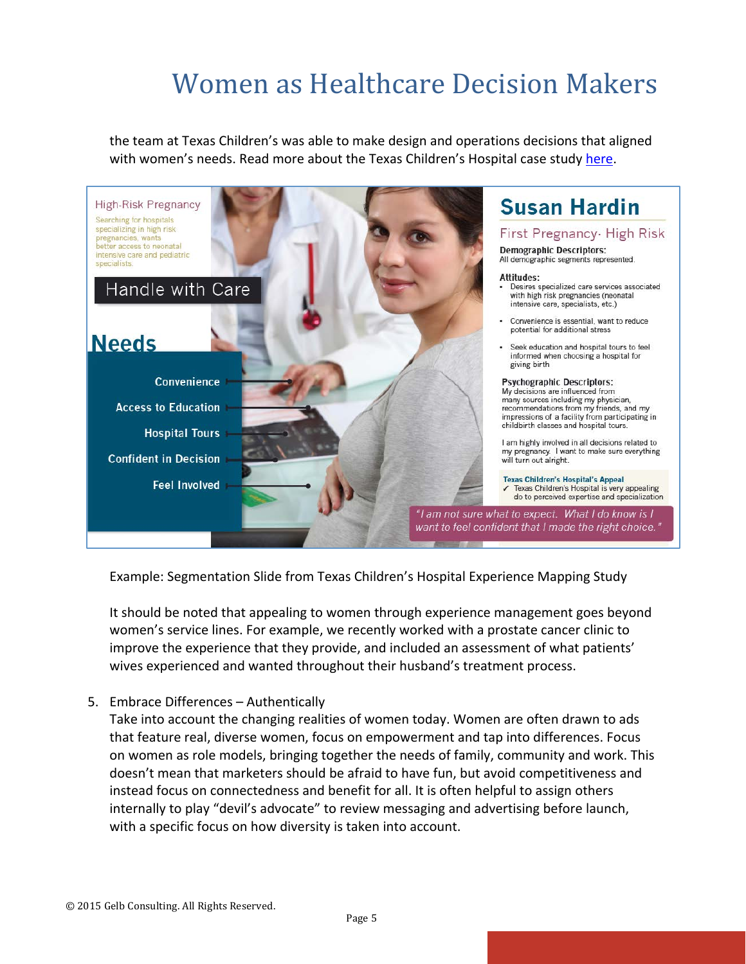the team at Texas Children's was able to make design and operations decisions that aligned with women's needs. Read more about the Texas Children's Hospital case study here.



Example: Segmentation Slide from Texas Children's Hospital Experience Mapping Study

It should be noted that appealing to women through experience management goes beyond women's service lines. For example, we recently worked with a prostate cancer clinic to improve the experience that they provide, and included an assessment of what patients' wives experienced and wanted throughout their husband's treatment process.

5. Embrace Differences - Authentically

Take into account the changing realities of women today. Women are often drawn to ads that feature real, diverse women, focus on empowerment and tap into differences. Focus on women as role models, bringing together the needs of family, community and work. This doesn't mean that marketers should be afraid to have fun, but avoid competitiveness and instead focus on connectedness and benefit for all. It is often helpful to assign others internally to play "devil's advocate" to review messaging and advertising before launch, with a specific focus on how diversity is taken into account.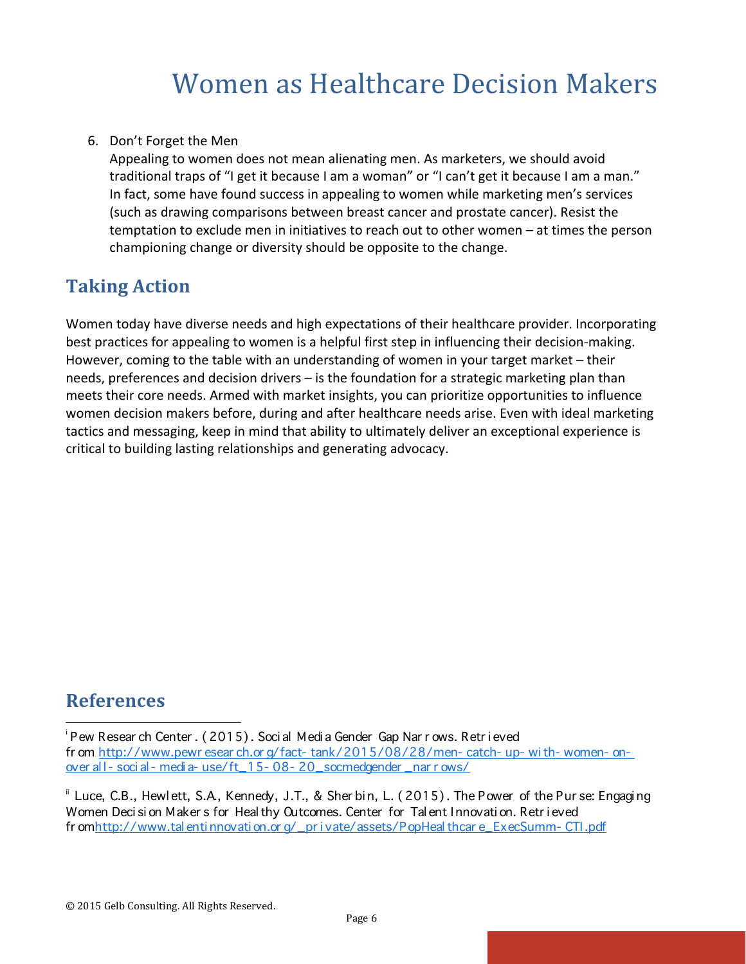#### 6. Don't Forget the Men

Appealing to women does not mean alienating men. As marketers, we should avoid traditional traps of "I get it because I am a woman" or "I can't get it because I am a man." In fact, some have found success in appealing to women while marketing men's services (such as drawing comparisons between breast cancer and prostate cancer). Resist the temptation to exclude men in initiatives to reach out to other women – at times the person championing change or diversity should be opposite to the change.

### **Taking Action**

Women today have diverse needs and high expectations of their healthcare provider. Incorporating best practices for appealing to women is a helpful first step in influencing their decision-making. However, coming to the table with an understanding of women in your target market  $-$  their needs, preferences and decision drivers  $-$  is the foundation for a strategic marketing plan than meets their core needs. Armed with market insights, you can prioritize opportunities to influence women decision makers before, during and after healthcare needs arise. Even with ideal marketing tactics and messaging, keep in mind that ability to ultimately deliver an exceptional experience is critical to building lasting relationships and generating advocacy.

### **References**

 

i Pew Resear ch Center . (2015). Soci al Medi a Gender Gap Nar r ows. Retr i eved fr om http://www.pewr esear ch.or g/fact- tank/2015/08/28/men- catch- up- wi th- women- onover al l- soci al- medi a- use/ft\_15- 08- 20\_socmedgender \_nar r ows/

Uce, C.B., Hewlett, S.A, Kennedy, J.T., & Sher bin, L. (2015). The Power of the Pur se: Engaging Women Deci si on Maker s for Heal thy Outcomes. Center for Tal ent Innovati on. Retr i eved fr omhttp://www.tal enti nnovati on.or g/\_pr i vate/assets/PopHeal thcar e\_ExecSumm- CTI.pdf